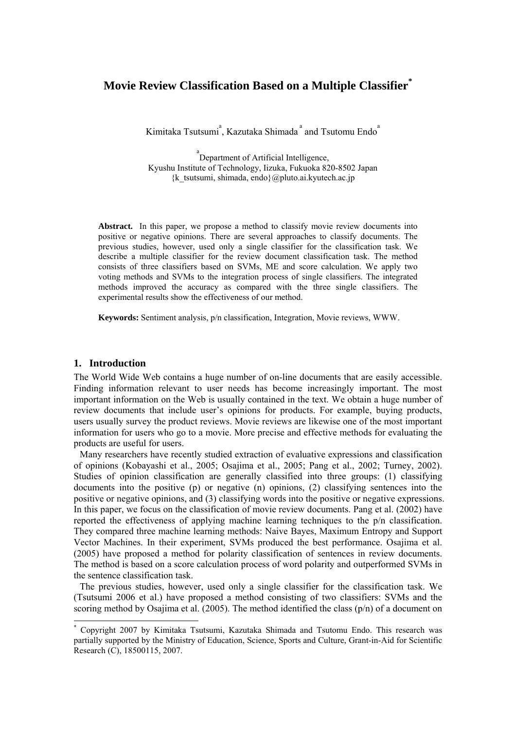# **Movie Review Classification Based on a Multiple Classifier\***

Kimitaka Tsutsumi<sup>a</sup>, Kazutaka Shimada<sup>a</sup> and Tsutomu Endo<sup>a</sup>

<sup>a</sup> Department of Artificial Intelligence, Kyushu Institute of Technology, Iizuka, Fukuoka 820-8502 Japan  $\{k$  tsutsumi, shimada, endo $\{a$ pluto.ai.kyutech.ac.jp

**Abstract.** In this paper, we propose a method to classify movie review documents into positive or negative opinions. There are several approaches to classify documents. The previous studies, however, used only a single classifier for the classification task. We describe a multiple classifier for the review document classification task. The method consists of three classifiers based on SVMs, ME and score calculation. We apply two voting methods and SVMs to the integration process of single classifiers. The integrated methods improved the accuracy as compared with the three single classifiers. The experimental results show the effectiveness of our method.

**Keywords:** Sentiment analysis, p/n classification, Integration, Movie reviews, WWW.

### **1. Introduction**

-

The World Wide Web contains a huge number of on-line documents that are easily accessible. Finding information relevant to user needs has become increasingly important. The most important information on the Web is usually contained in the text. We obtain a huge number of review documents that include user's opinions for products. For example, buying products, users usually survey the product reviews. Movie reviews are likewise one of the most important information for users who go to a movie. More precise and effective methods for evaluating the products are useful for users.

 Many researchers have recently studied extraction of evaluative expressions and classification of opinions (Kobayashi et al., 2005; Osajima et al., 2005; Pang et al., 2002; Turney, 2002). Studies of opinion classification are generally classified into three groups: (1) classifying documents into the positive (p) or negative (n) opinions, (2) classifying sentences into the positive or negative opinions, and (3) classifying words into the positive or negative expressions. In this paper, we focus on the classification of movie review documents. Pang et al. (2002) have reported the effectiveness of applying machine learning techniques to the p/n classification. They compared three machine learning methods: Naive Bayes, Maximum Entropy and Support Vector Machines. In their experiment, SVMs produced the best performance. Osajima et al. (2005) have proposed a method for polarity classification of sentences in review documents. The method is based on a score calculation process of word polarity and outperformed SVMs in the sentence classification task.

 The previous studies, however, used only a single classifier for the classification task. We (Tsutsumi 2006 et al.) have proposed a method consisting of two classifiers: SVMs and the scoring method by Osaiima et al. (2005). The method identified the class (p/n) of a document on

<sup>\*</sup> Copyright 2007 by Kimitaka Tsutsumi, Kazutaka Shimada and Tsutomu Endo. This research was partially supported by the Ministry of Education, Science, Sports and Culture, Grant-in-Aid for Scientific Research (C), 18500115, 2007.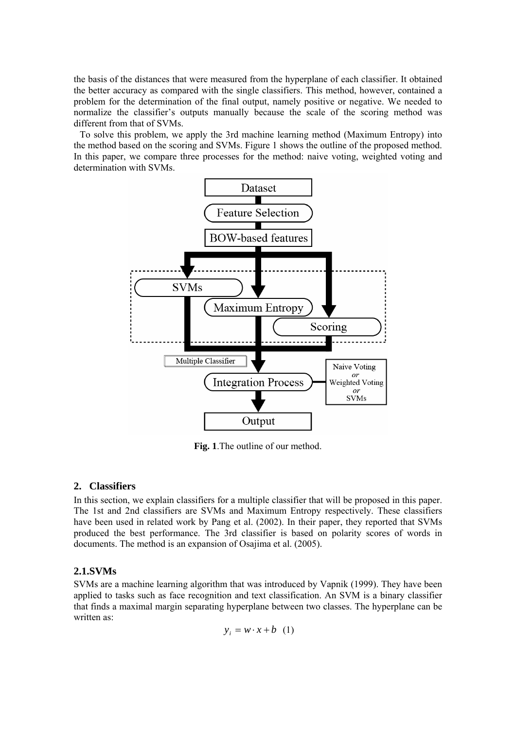the basis of the distances that were measured from the hyperplane of each classifier. It obtained the better accuracy as compared with the single classifiers. This method, however, contained a problem for the determination of the final output, namely positive or negative. We needed to normalize the classifier's outputs manually because the scale of the scoring method was different from that of SVMs.

 To solve this problem, we apply the 3rd machine learning method (Maximum Entropy) into the method based on the scoring and SVMs. Figure 1 shows the outline of the proposed method. In this paper, we compare three processes for the method: naive voting, weighted voting and determination with SVMs.



**Fig. 1**.The outline of our method.

# **2. Classifiers**

In this section, we explain classifiers for a multiple classifier that will be proposed in this paper. The 1st and 2nd classifiers are SVMs and Maximum Entropy respectively. These classifiers have been used in related work by Pang et al. (2002). In their paper, they reported that SVMs produced the best performance. The 3rd classifier is based on polarity scores of words in documents. The method is an expansion of Osajima et al. (2005).

# **2.1.SVMs**

SVMs are a machine learning algorithm that was introduced by Vapnik (1999). They have been applied to tasks such as face recognition and text classification. An SVM is a binary classifier that finds a maximal margin separating hyperplane between two classes. The hyperplane can be written as:

 $y_i = w \cdot x + b$  (1)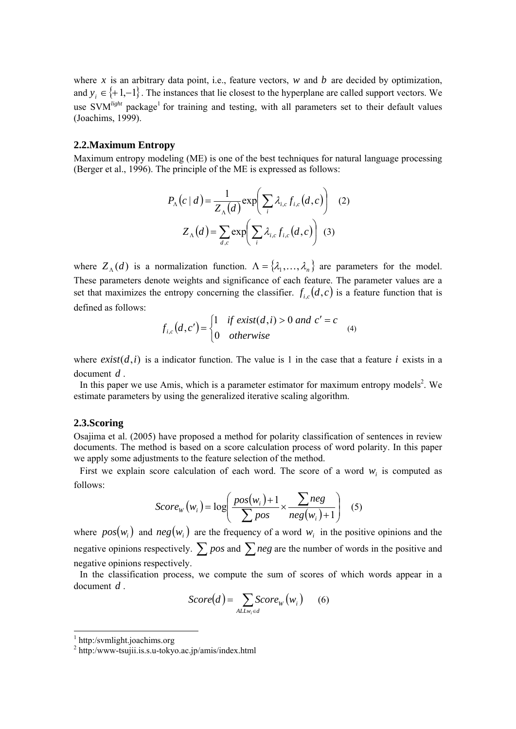where  $x$  is an arbitrary data point, i.e., feature vectors,  $w$  and  $b$  are decided by optimization, and  $y_i \in \{+1,-1\}$ . The instances that lie closest to the hyperplane are called support vectors. We use SVM<sup>light</sup> package<sup>1</sup> for training and testing, with all parameters set to their default values (Joachims, 1999).

### **2.2.Maximum Entropy**

Maximum entropy modeling (ME) is one of the best techniques for natural language processing (Berger et al., 1996). The principle of the ME is expressed as follows:

$$
P_{\Lambda}(c \mid d) = \frac{1}{Z_{\Lambda}(d)} \exp\left(\sum_{i} \lambda_{i,c} f_{i,c}(d, c)\right) \quad (2)
$$

$$
Z_{\Lambda}(d) = \sum_{d,c} \exp\left(\sum_{i} \lambda_{i,c} f_{i,c}(d, c)\right) \quad (3)
$$

where  $Z_{\Lambda}(d)$  is a normalization function.  $\Lambda = {\lambda_1, \dots, \lambda_n}$  are parameters for the model. These parameters denote weights and significance of each feature. The parameter values are a set that maximizes the entropy concerning the classifier.  $f_{i,c}(d, c)$  is a feature function that is defined as follows:

$$
f_{i,c}(d,c') = \begin{cases} 1 & \text{if } exist(d,i) > 0 \text{ and } c' = c \\ 0 & \text{otherwise} \end{cases}
$$
 (4)

where  $exist(d, i)$  is a indicator function. The value is 1 in the case that a feature *i* exists in a document *d* .

In this paper we use Amis, which is a parameter estimator for maximum entropy models<sup>2</sup>. We estimate parameters by using the generalized iterative scaling algorithm.

#### **2.3.Scoring**

Osajima et al. (2005) have proposed a method for polarity classification of sentences in review documents. The method is based on a score calculation process of word polarity. In this paper we apply some adjustments to the feature selection of the method.

First we explain score calculation of each word. The score of a word  $w_i$  is computed as follows:

$$
Score_W(w_i) = \log\left(\frac{pos(w_i) + 1}{\sum pos} \times \frac{\sum neg}{neg(w_i) + 1}\right) \quad (5)
$$

where  $pos(w_i)$  and  $neg(w_i)$  are the frequency of a word  $w_i$  in the positive opinions and the negative opinions respectively. ∑ *pos* and ∑*neg* are the number of words in the positive and negative opinions respectively.

 In the classification process, we compute the sum of scores of which words appear in a document *d* .

$$
Score(d) = \sum_{ALLw_i \in d} Score_W(w_i) \qquad (6)
$$

1

<sup>1</sup> http:/svmlight.joachims.org

<sup>2</sup> http:/www-tsujii.is.s.u-tokyo.ac.jp/amis/index.html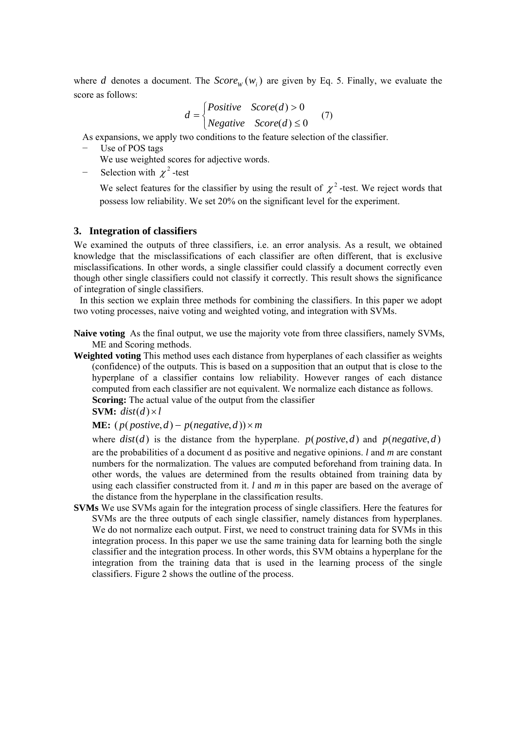where *d* denotes a document. The  $Score_W(w_i)$  are given by Eq. 5. Finally, we evaluate the score as follows:

$$
d = \begin{cases} Positive & Score(d) > 0 \\ Negative & Score(d) \le 0 \end{cases} (7)
$$

As expansions, we apply two conditions to the feature selection of the classifier.

Use of POS tags

We use weighted scores for adjective words.

Selection with  $\chi^2$ -test

We select features for the classifier by using the result of  $\chi^2$ -test. We reject words that possess low reliability. We set 20% on the significant level for the experiment.

### **3. Integration of classifiers**

We examined the outputs of three classifiers, i.e. an error analysis. As a result, we obtained knowledge that the misclassifications of each classifier are often different, that is exclusive misclassifications. In other words, a single classifier could classify a document correctly even though other single classifiers could not classify it correctly. This result shows the significance of integration of single classifiers.

 In this section we explain three methods for combining the classifiers. In this paper we adopt two voting processes, naive voting and weighted voting, and integration with SVMs.

**Naive voting** As the final output, we use the majority vote from three classifiers, namely SVMs, ME and Scoring methods.

**Weighted voting** This method uses each distance from hyperplanes of each classifier as weights (confidence) of the outputs. This is based on a supposition that an output that is close to the hyperplane of a classifier contains low reliability. However ranges of each distance computed from each classifier are not equivalent. We normalize each distance as follows. **Scoring:** The actual value of the output from the classifier

**SVM:**  $dist(d) \times l$ 

# **ME:**  $(p(\text{positive}, d) - p(\text{negative}, d)) \times m$

where  $dist(d)$  is the distance from the hyperplane.  $p(postive, d)$  and  $p(negative, d)$ are the probabilities of a document d as positive and negative opinions. *l* and *m* are constant numbers for the normalization. The values are computed beforehand from training data. In other words, the values are determined from the results obtained from training data by using each classifier constructed from it. *l* and *m* in this paper are based on the average of the distance from the hyperplane in the classification results.

**SVMs** We use SVMs again for the integration process of single classifiers. Here the features for SVMs are the three outputs of each single classifier, namely distances from hyperplanes. We do not normalize each output. First, we need to construct training data for SVMs in this integration process. In this paper we use the same training data for learning both the single classifier and the integration process. In other words, this SVM obtains a hyperplane for the integration from the training data that is used in the learning process of the single classifiers. Figure 2 shows the outline of the process.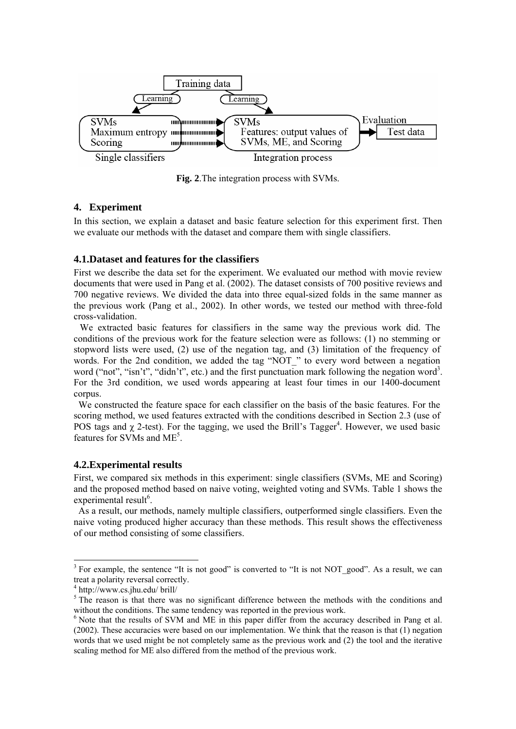

**Fig. 2**.The integration process with SVMs.

# **4. Experiment**

In this section, we explain a dataset and basic feature selection for this experiment first. Then we evaluate our methods with the dataset and compare them with single classifiers.

### **4.1.Dataset and features for the classifiers**

First we describe the data set for the experiment. We evaluated our method with movie review documents that were used in Pang et al. (2002). The dataset consists of 700 positive reviews and 700 negative reviews. We divided the data into three equal-sized folds in the same manner as the previous work (Pang et al., 2002). In other words, we tested our method with three-fold cross-validation.

 We extracted basic features for classifiers in the same way the previous work did. The conditions of the previous work for the feature selection were as follows: (1) no stemming or stopword lists were used, (2) use of the negation tag, and (3) limitation of the frequency of words. For the 2nd condition, we added the tag "NOT\_" to every word between a negation word ("not", "isn't", "didn't", etc.) and the first punctuation mark following the negation word<sup>3</sup>. For the 3rd condition, we used words appearing at least four times in our 1400-document corpus.

We constructed the feature space for each classifier on the basis of the basic features. For the scoring method, we used features extracted with the conditions described in Section 2.3 (use of POS tags and  $\chi$  2-test). For the tagging, we used the Brill's Tagger<sup>4</sup>. However, we used basic features for SVMs and ME<sup>5</sup>.

### **4.2.Experimental results**

First, we compared six methods in this experiment: single classifiers (SVMs, ME and Scoring) and the proposed method based on naive voting, weighted voting and SVMs. Table 1 shows the experimental result<sup>6</sup>.

As a result, our methods, namely multiple classifiers, outperformed single classifiers. Even the naive voting produced higher accuracy than these methods. This result shows the effectiveness of our method consisting of some classifiers.

-

 $3$  For example, the sentence "It is not good" is converted to "It is not NOT\_good". As a result, we can treat a polarity reversal correctly.

<sup>4</sup> http://www.cs.jhu.edu/ brill/

<sup>&</sup>lt;sup>5</sup> The reason is that there was no significant difference between the methods with the conditions and without the conditions. The same tendency was reported in the previous work.

 $6$  Note that the results of SVM and ME in this paper differ from the accuracy described in Pang et al. (2002). These accuracies were based on our implementation. We think that the reason is that (1) negation words that we used might be not completely same as the previous work and (2) the tool and the iterative scaling method for ME also differed from the method of the previous work.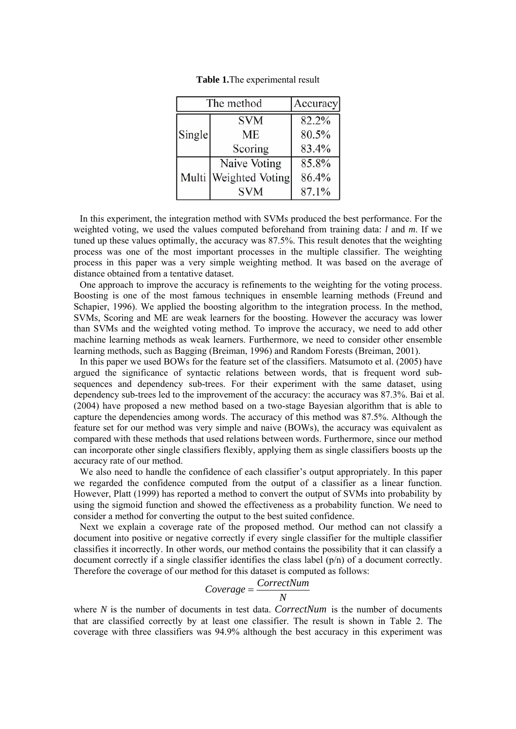| The method |                       | <b>Accuracy</b> |
|------------|-----------------------|-----------------|
| Single     | <b>SVM</b>            | 82.2%           |
|            | <b>ME</b>             | 80.5%           |
|            | Scoring               | 83.4%           |
|            | Naive Voting          | 85.8%           |
|            | Multi Weighted Voting | 86.4%           |
|            | <b>SVM</b>            | 87.1%           |

**Table 1.**The experimental result

 In this experiment, the integration method with SVMs produced the best performance. For the weighted voting, we used the values computed beforehand from training data: *l* and *m*. If we tuned up these values optimally, the accuracy was 87.5%. This result denotes that the weighting process was one of the most important processes in the multiple classifier. The weighting process in this paper was a very simple weighting method. It was based on the average of distance obtained from a tentative dataset.

 One approach to improve the accuracy is refinements to the weighting for the voting process. Boosting is one of the most famous techniques in ensemble learning methods (Freund and Schapier, 1996). We applied the boosting algorithm to the integration process. In the method, SVMs, Scoring and ME are weak learners for the boosting. However the accuracy was lower than SVMs and the weighted voting method. To improve the accuracy, we need to add other machine learning methods as weak learners. Furthermore, we need to consider other ensemble learning methods, such as Bagging (Breiman, 1996) and Random Forests (Breiman, 2001).

 In this paper we used BOWs for the feature set of the classifiers. Matsumoto et al. (2005) have argued the significance of syntactic relations between words, that is frequent word subsequences and dependency sub-trees. For their experiment with the same dataset, using dependency sub-trees led to the improvement of the accuracy: the accuracy was 87.3%. Bai et al. (2004) have proposed a new method based on a two-stage Bayesian algorithm that is able to capture the dependencies among words. The accuracy of this method was 87.5%. Although the feature set for our method was very simple and naive (BOWs), the accuracy was equivalent as compared with these methods that used relations between words. Furthermore, since our method can incorporate other single classifiers flexibly, applying them as single classifiers boosts up the accuracy rate of our method.

We also need to handle the confidence of each classifier's output appropriately. In this paper we regarded the confidence computed from the output of a classifier as a linear function. However, Platt (1999) has reported a method to convert the output of SVMs into probability by using the sigmoid function and showed the effectiveness as a probability function. We need to consider a method for converting the output to the best suited confidence.

 Next we explain a coverage rate of the proposed method. Our method can not classify a document into positive or negative correctly if every single classifier for the multiple classifier classifies it incorrectly. In other words, our method contains the possibility that it can classify a document correctly if a single classifier identifies the class label (p/n) of a document correctly. Therefore the coverage of our method for this dataset is computed as follows:

$$
Coverage = \frac{CorrectNum}{N}
$$

where *N* is the number of documents in test data. *CorrectNum* is the number of documents that are classified correctly by at least one classifier. The result is shown in Table 2. The coverage with three classifiers was 94.9% although the best accuracy in this experiment was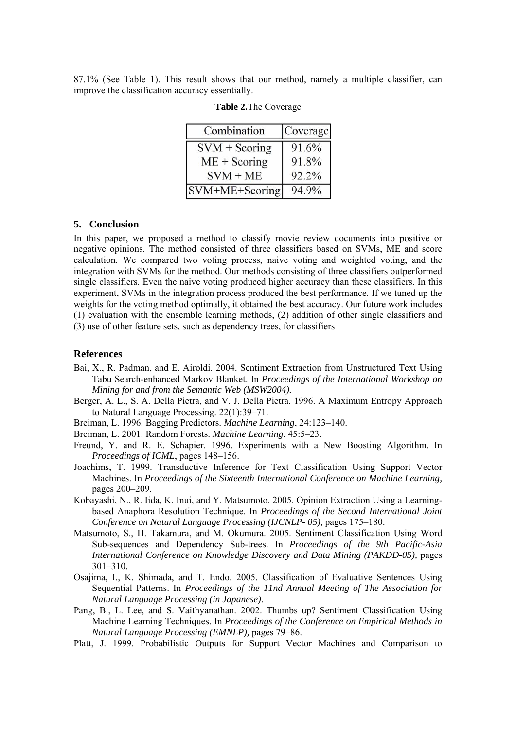87.1% (See Table 1). This result shows that our method, namely a multiple classifier, can improve the classification accuracy essentially.

| Combination        | Coverage |
|--------------------|----------|
| $SVM + Scoring$    | 91.6%    |
| $ME + Scoring$     | 91.8%    |
| $SVM + ME$         | 92.2%    |
| $ SVM+ME+Scoring $ | 94.9%    |

#### **Table 2.**The Coverage

### **5. Conclusion**

In this paper, we proposed a method to classify movie review documents into positive or negative opinions. The method consisted of three classifiers based on SVMs, ME and score calculation. We compared two voting process, naive voting and weighted voting, and the integration with SVMs for the method. Our methods consisting of three classifiers outperformed single classifiers. Even the naive voting produced higher accuracy than these classifiers. In this experiment, SVMs in the integration process produced the best performance. If we tuned up the weights for the voting method optimally, it obtained the best accuracy. Our future work includes (1) evaluation with the ensemble learning methods, (2) addition of other single classifiers and (3) use of other feature sets, such as dependency trees, for classifiers

#### **References**

- Bai, X., R. Padman, and E. Airoldi. 2004. Sentiment Extraction from Unstructured Text Using Tabu Search-enhanced Markov Blanket. In *Proceedings of the International Workshop on Mining for and from the Semantic Web (MSW2004).*
- Berger, A. L., S. A. Della Pietra, and V. J. Della Pietra. 1996. A Maximum Entropy Approach to Natural Language Processing. 22(1):39–71.
- Breiman, L. 1996. Bagging Predictors. *Machine Learning*, 24:123–140.
- Breiman, L. 2001. Random Forests. *Machine Learning*, 45:5–23.
- Freund, Y. and R. E. Schapier. 1996. Experiments with a New Boosting Algorithm. In *Proceedings of ICML*, pages 148–156.
- Joachims, T. 1999. Transductive Inference for Text Classification Using Support Vector Machines. In *Proceedings of the Sixteenth International Conference on Machine Learning,* pages 200–209.
- Kobayashi, N., R. Iida, K. Inui, and Y. Matsumoto. 2005. Opinion Extraction Using a Learningbased Anaphora Resolution Technique. In *Proceedings of the Second International Joint Conference on Natural Language Processing (IJCNLP- 05),* pages 175–180.
- Matsumoto, S., H. Takamura, and M. Okumura. 2005. Sentiment Classification Using Word Sub-sequences and Dependency Sub-trees. In *Proceedings of the 9th Pacific-Asia International Conference on Knowledge Discovery and Data Mining (PAKDD-05),* pages 301–310.
- Osajima, I., K. Shimada, and T. Endo. 2005. Classification of Evaluative Sentences Using Sequential Patterns. In *Proceedings of the 11nd Annual Meeting of The Association for Natural Language Processing (in Japanese)*.
- Pang, B., L. Lee, and S. Vaithyanathan. 2002. Thumbs up? Sentiment Classification Using Machine Learning Techniques. In *Proceedings of the Conference on Empirical Methods in Natural Language Processing (EMNLP),* pages 79–86.
- Platt, J. 1999. Probabilistic Outputs for Support Vector Machines and Comparison to